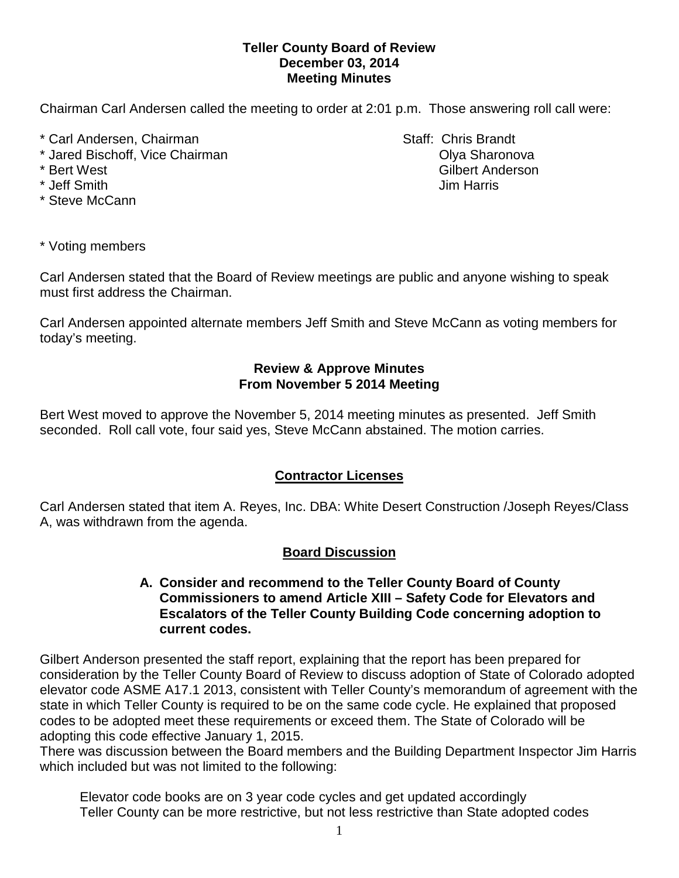#### **Teller County Board of Review December 03, 2014 Meeting Minutes**

Chairman Carl Andersen called the meeting to order at 2:01 p.m. Those answering roll call were:

- \* Carl Andersen, Chairman Staff: Chris Brandt
- \* Jared Bischoff, Vice Chairman **Communist Communist Communist Communist Communist Communist Communist Communist Communist Communist Communist Communist Communist Communist Communist Communist Communist Communist Communist**
- 
- 
- \* Steve McCann

\* Bert West Gilbert Anderson \* Jeff Smith Jim Harris

\* Voting members

Carl Andersen stated that the Board of Review meetings are public and anyone wishing to speak must first address the Chairman.

Carl Andersen appointed alternate members Jeff Smith and Steve McCann as voting members for today's meeting.

## **Review & Approve Minutes From November 5 2014 Meeting**

Bert West moved to approve the November 5, 2014 meeting minutes as presented. Jeff Smith seconded.Roll call vote, four said yes, Steve McCann abstained. The motion carries.

# **Contractor Licenses**

Carl Andersen stated that item A. Reyes, Inc. DBA: White Desert Construction /Joseph Reyes/Class A, was withdrawn from the agenda.

# **Board Discussion**

### **A. Consider and recommend to the Teller County Board of County Commissioners to amend Article XIII – Safety Code for Elevators and Escalators of the Teller County Building Code concerning adoption to current codes.**

Gilbert Anderson presented the staff report, explaining that the report has been prepared for consideration by the Teller County Board of Review to discuss adoption of State of Colorado adopted elevator code ASME A17.1 2013, consistent with Teller County's memorandum of agreement with the state in which Teller County is required to be on the same code cycle. He explained that proposed codes to be adopted meet these requirements or exceed them. The State of Colorado will be adopting this code effective January 1, 2015.

There was discussion between the Board members and the Building Department Inspector Jim Harris which included but was not limited to the following:

Elevator code books are on 3 year code cycles and get updated accordingly Teller County can be more restrictive, but not less restrictive than State adopted codes